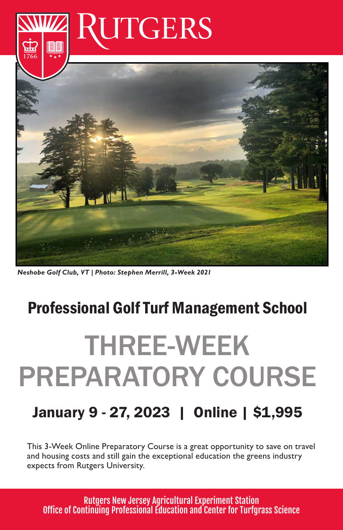

*Neshobe Golf Club, VT | Photo: Stephen Merrill, 3-Week 2021*

### Professional Golf Turf Management School

# THREE-WEEK PREPARATORY COURSE

### January 9 - 27, 2023 | Online | \$1,995

This 3-Week Online Preparatory Course is a great opportunity to save on travel and housing costs and still gain the exceptional education the greens industry expects from Rutgers University.

Rutgers New Jersey Agricultural Experiment Station Office of Continuing Professional Education and Center for Turfgrass Science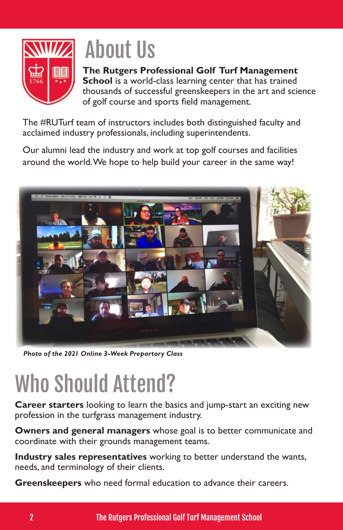

# About Us

#### **The Rutgers Professional Golf Turf Management**

**School** is a world-class learning center that has trained thousands of successful greenskeepers in the art and science of golf course and sports field management.

The #RUTurf team of instructors includes both distinguished faculty and acclaimed industry professionals, including superintendents.

Our alumni lead the industry and work at top golf courses and facilities around the world. We hope to help build your career in the same way!



*Photo of the 2021 Online 3-Week Prepartory Class*

# Who Should Attend?

**Career starters** looking to learn the basics and jump-start an exciting new profession in the turfgrass management industry.

**Owners and general managers** whose goal is to better communicate and coordinate with their grounds management teams.

**Industry sales representatives** working to better understand the wants, needs, and terminology of their clients.

**Greenskeepers** who need formal education to advance their careers.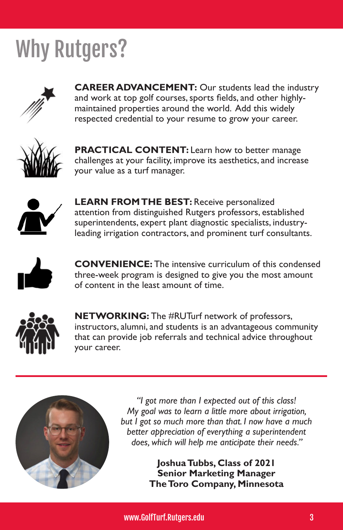## Why Rutgers?



**CAREER ADVANCEMENT:** Our students lead the industry and work at top golf courses, sports fields, and other highlymaintained properties around the world. Add this widely respected credential to your resume to grow your career.



**PRACTICAL CONTENT:** Learn how to better manage challenges at your facility, improve its aesthetics, and increase your value as a turf manager.



**LEARN FROM THE BEST:** Receive personalized attention from distinguished Rutgers professors, established superintendents, expert plant diagnostic specialists, industryleading irrigation contractors, and prominent turf consultants.



**CONVENIENCE:** The intensive curriculum of this condensed three-week program is designed to give you the most amount of content in the least amount of time.



**NETWORKING:** The #RUTurf network of professors, instructors, alumni, and students is an advantageous community that can provide job referrals and technical advice throughout your career.



*"I got more than I expected out of this class! My goal was to learn a little more about irrigation, but I got so much more than that. I now have a much better appreciation of everything a superintendent does, which will help me anticipate their needs."*

> **Joshua Tubbs, Class of 2021 Senior Marketing Manager The Toro Company, Minnesota**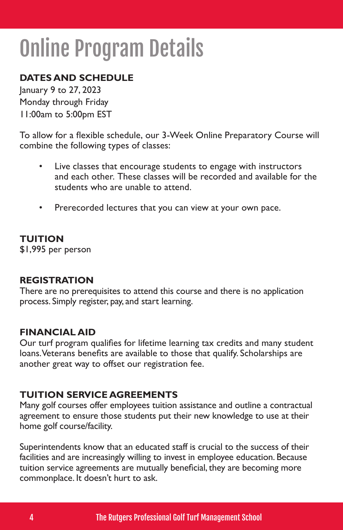## Online Program Details

#### **DATES AND SCHEDULE**

January 9 to 27, 2023 Monday through Friday 11:00am to 5:00pm EST

To allow for a flexible schedule, our 3-Week Online Preparatory Course will combine the following types of classes:

- Live classes that encourage students to engage with instructors and each other. These classes will be recorded and available for the students who are unable to attend.
- Prerecorded lectures that you can view at your own pace.

#### **TUITION**

\$1,995 per person

#### **REGISTRATION**

There are no prerequisites to attend this course and there is no application process. Simply register, pay, and start learning.

#### **FINANCIAL AID**

Our turf program qualifies for lifetime learning tax credits and many student loans. Veterans benefits are available to those that qualify. Scholarships are another great way to offset our registration fee.

#### **TUITION SERVICE AGREEMENTS**

Many golf courses offer employees tuition assistance and outline a contractual agreement to ensure those students put their new knowledge to use at their home golf course/facility.

Superintendents know that an educated staff is crucial to the success of their facilities and are increasingly willing to invest in employee education. Because tuition service agreements are mutually beneficial, they are becoming more commonplace. It doesn't hurt to ask.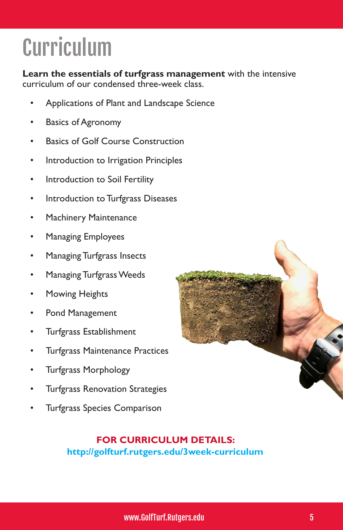# Curriculum

**Learn the essentials of turfgrass management** with the intensive curriculum of our condensed three-week class.

- Applications of Plant and Landscape Science
- Basics of Agronomy
- Basics of Golf Course Construction
- Introduction to Irrigation Principles
- Introduction to Soil Fertility
- Introduction to Turfgrass Diseases
- Machinery Maintenance
- Managing Employees
- Managing Turfgrass Insects
- Managing Turfgrass Weeds
- Mowing Heights
- Pond Management
- Turfgrass Establishment
- Turfgrass Maintenance Practices
- Turfgrass Morphology
- Turfgrass Renovation Strategies
- Turfgrass Species Comparison



#### **FOR CURRICULUM DETAILS: http://golfturf.rutgers.edu/3week-curriculum**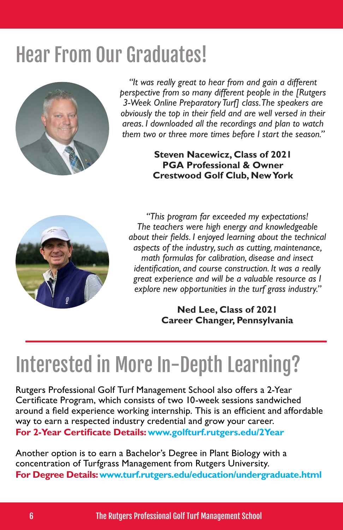### Hear From Our Graduates!



*"It was really great to hear from and gain a different perspective from so many different people in the [Rutgers 3-Week Online Preparatory Turf] class. The speakers are obviously the top in their field and are well versed in their areas. I downloaded all the recordings and plan to watch them two or three more times before I start the season."*

#### **Steven Nacewicz, Class of 2021 PGA Professional & Owner Crestwood Golf Club, New York**



*"This program far exceeded my expectations! The teachers were high energy and knowledgeable about their fields. I enjoyed learning about the technical aspects of the industry, such as cutting, maintenance, math formulas for calibration, disease and insect identification, and course construction. It was a really great experience and will be a valuable resource as I explore new opportunities in the turf grass industry."*

#### **Ned Lee, Class of 2021 Career Changer, Pennsylvania**

### Interested in More In-Depth Learning?

Rutgers Professional Golf Turf Management School also offers a 2-Year Certificate Program, which consists of two 10-week sessions sandwiched around a field experience working internship. This is an efficient and affordable way to earn a respected industry credential and grow your career. **For 2-Year Certificate Details: www.golfturf.rutgers.edu/2Year**

Another option is to earn a Bachelor's Degree in Plant Biology with a concentration of Turfgrass Management from Rutgers University. **For Degree Details: www.turf.rutgers.edu/education/undergraduate.html**